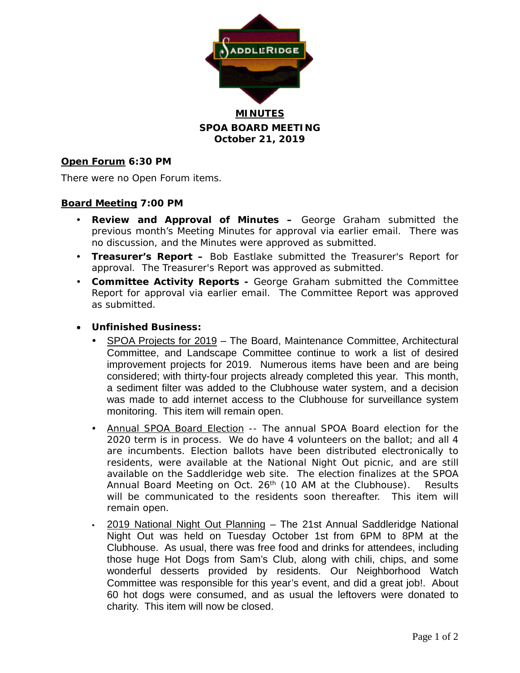

**MINUTES SPOA BOARD MEETING October 21, 2019**

## **Open Forum 6:30 PM**

There were no Open Forum items.

### **Board Meeting 7:00 PM**

- **Review and Approval of Minutes –** George Graham submitted the previous month's Meeting Minutes for approval via earlier email. There was no discussion, and the Minutes were approved as submitted.
- **Treasurer's Report –** Bob Eastlake submitted the Treasurer's Report for approval. The Treasurer's Report was approved as submitted.
- **Committee Activity Reports -** George Graham submitted the Committee Report for approval via earlier email. The Committee Report was approved as submitted.
- **Unfinished Business:**
	- SPOA Projects for 2019 The Board, Maintenance Committee, Architectural Committee, and Landscape Committee continue to work a list of desired improvement projects for 2019. Numerous items have been and are being considered; with thirty-four projects already completed this year. This month, a sediment filter was added to the Clubhouse water system, and a decision was made to add internet access to the Clubhouse for surveillance system monitoring. This item will remain open.
	- Annual SPOA Board Election -- The annual SPOA Board election for the 2020 term is in process. We do have 4 volunteers on the ballot; and all 4 are incumbents. Election ballots have been distributed electronically to residents, were available at the National Night Out picnic, and are still available on the Saddleridge web site. The election finalizes at the SPOA Annual Board Meeting on Oct.  $26<sup>th</sup>$  (10 AM at the Clubhouse). Results will be communicated to the residents soon thereafter. This item will remain open.
	- 2019 National Night Out Planning The 21st Annual Saddleridge National Night Out was held on Tuesday October 1st from 6PM to 8PM at the Clubhouse. As usual, there was free food and drinks for attendees, including those huge Hot Dogs from Sam's Club, along with chili, chips, and some wonderful desserts provided by residents. Our Neighborhood Watch Committee was responsible for this year's event, and did a great job!. About 60 hot dogs were consumed, and as usual the leftovers were donated to charity. This item will now be closed.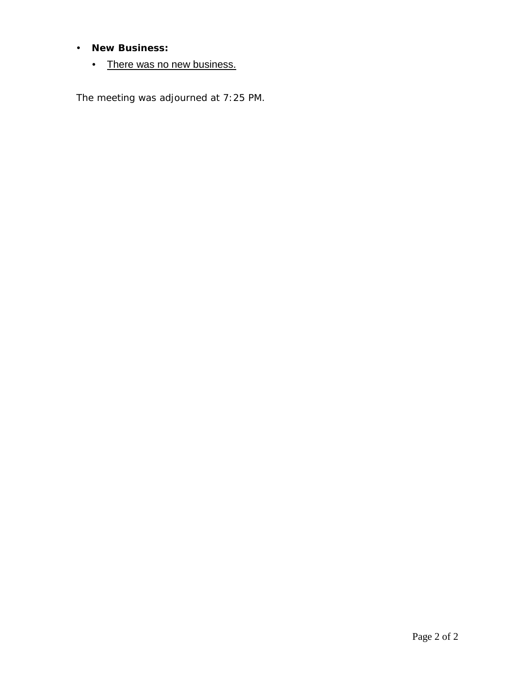# **New Business:**

• There was no new business.

The meeting was adjourned at 7:25 PM.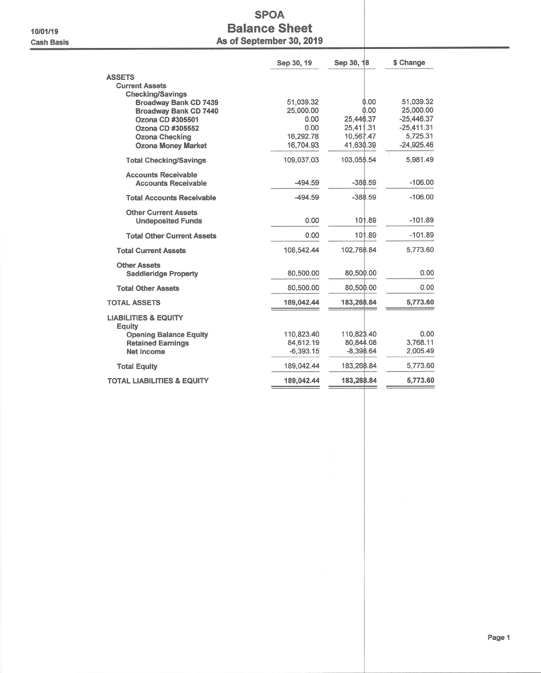#### 10/01/19 **Cash Basis**

# **SPOA Balance Sheet** As of September 30, 2019

|                                                                                                                                                                                | Sep 30, 19                                                       | Sep 30, 18                                                       | \$ Change                                                                          |
|--------------------------------------------------------------------------------------------------------------------------------------------------------------------------------|------------------------------------------------------------------|------------------------------------------------------------------|------------------------------------------------------------------------------------|
| <b>ASSETS</b><br><b>Current Assets</b>                                                                                                                                         |                                                                  |                                                                  |                                                                                    |
| <b>Checking/Savings</b><br><b>Broadway Bank CD 7439</b><br>Broadway Bank CD 7440<br>Ozona CD #305501<br>Ozona CD #305552<br><b>Ozona Checking</b><br><b>Ozona Money Market</b> | 51,039.32<br>25,000.00<br>0.00<br>0.00<br>16,292.78<br>16,704.93 | 0.00<br>0.00<br>25,446.37<br>25,411.31<br>10,567.47<br>41,630.39 | 51,039.32<br>25,000.00<br>$-25,446.37$<br>$-25,411.31$<br>5,725.31<br>$-24,925.46$ |
| <b>Total Checking/Savings</b>                                                                                                                                                  | 109.037.03                                                       | 103,055.54                                                       | 5.981.49                                                                           |
| <b>Accounts Receivable</b><br><b>Accounts Receivable</b>                                                                                                                       | $-494.59$                                                        | $-388.59$                                                        | $-106.00$                                                                          |
| <b>Total Accounts Receivable</b>                                                                                                                                               | $-494.59$                                                        | $-388.59$                                                        | $-106.00$                                                                          |
| <b>Other Current Assets</b><br><b>Undeposited Funds</b>                                                                                                                        | 0.00                                                             | 101.89                                                           | $-101.89$                                                                          |
| <b>Total Other Current Assets</b>                                                                                                                                              | 0.00                                                             | 101.89                                                           | $-101.89$                                                                          |
| <b>Total Current Assets</b>                                                                                                                                                    | 108,542.44                                                       | 102,768.84                                                       | 5,773.60                                                                           |
| <b>Other Assets</b><br><b>Saddleridge Property</b>                                                                                                                             | 80,500.00                                                        | 80,500.00                                                        | 0.00                                                                               |
| <b>Total Other Assets</b>                                                                                                                                                      | 80,500.00                                                        | 80,500.00                                                        | 0.00                                                                               |
| <b>TOTAL ASSETS</b>                                                                                                                                                            | 189,042.44                                                       | 183,268.84                                                       | 5,773.60                                                                           |
| <b>LIABILITIES &amp; EQUITY</b><br><b>Equity</b>                                                                                                                               |                                                                  |                                                                  |                                                                                    |
| <b>Opening Balance Equity</b><br><b>Retained Earnings</b><br><b>Net Income</b>                                                                                                 | 110,823.40<br>84.612.19<br>$-6,393.15$                           | 110.823.40<br>80,844.08<br>$-8,398.64$                           | 0.00<br>3,768.11<br>2,005.49                                                       |
| <b>Total Equity</b>                                                                                                                                                            | 189.042.44                                                       | 183,268.84                                                       | 5,773.60                                                                           |
| <b>TOTAL LIABILITIES &amp; EQUITY</b>                                                                                                                                          | 189,042.44                                                       | 183,268.84                                                       | 5,773.60                                                                           |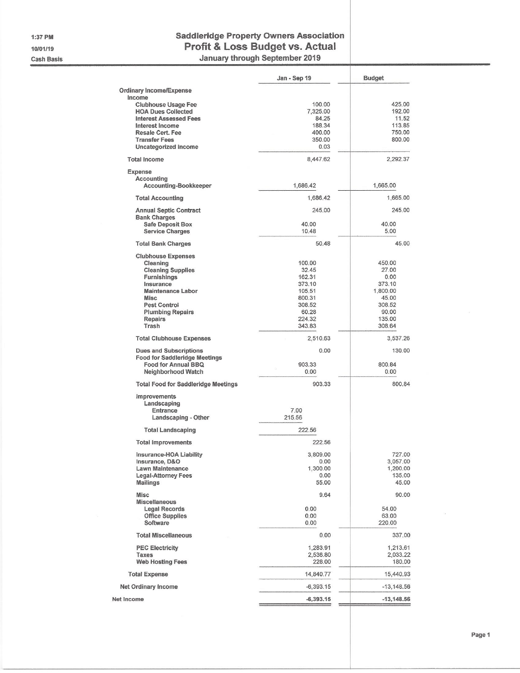1:37 PM 10/01/19 **Cash Basis** 

### **Saddleridge Property Owners Association** Profit & Loss Budget vs. Actual January through September 2019

|                                                                       | Jan - Sep 19       | <b>Budget</b>      |
|-----------------------------------------------------------------------|--------------------|--------------------|
| <b>Ordinary Income/Expense</b>                                        |                    |                    |
| Income                                                                |                    |                    |
| <b>Clubhouse Usage Fee</b><br><b>HOA Dues Collected</b>               | 100.00<br>7,325.00 | 425.00<br>192.00   |
| <b>Interest Assessed Fees</b>                                         | 84.25              | 11.52              |
| <b>Interest Income</b>                                                | 188.34             | 113.85             |
| Resale Cert, Fee                                                      | 400.00             | 750.00             |
| <b>Transfer Fees</b>                                                  | 350.00             | 800.00             |
| <b>Uncategorized Income</b>                                           | 0.03               |                    |
| <b>Total Income</b>                                                   | 8,447.62           | 2,292.37           |
| Expense                                                               |                    |                    |
| Accounting                                                            |                    |                    |
| Accounting-Bookkeeper                                                 | 1,686.42           | 1,665.00           |
| <b>Total Accounting</b>                                               | 1,686.42           | 1,665.00           |
| <b>Annual Septic Contract</b>                                         | 245.00             | 245.00             |
| <b>Bank Charges</b><br><b>Safe Deposit Box</b>                        | 40.00              | 40.00              |
| <b>Service Charges</b>                                                | 10.48              | 5.00               |
| <b>Total Bank Charges</b>                                             | 50.48              | 45.00              |
|                                                                       |                    |                    |
| <b>Clubhouse Expenses</b>                                             | 100.00             | 450.00             |
| Cleaning<br><b>Cleaning Supplies</b>                                  | 32.45              | 27.00              |
| Furnishings                                                           | 162.31             | 0.00               |
| Insurance                                                             | 373.10             | 373.10             |
| <b>Maintenance Labor</b>                                              | 105.51             | 1,800.00           |
| <b>Misc</b>                                                           | 800.31             | 45.00              |
| <b>Pest Control</b>                                                   | 308.52             | 308.52             |
| <b>Plumbing Repairs</b>                                               | 60.28              | 90.00              |
| <b>Repairs</b><br>Trash                                               | 224.32<br>343.83   | 135.00             |
|                                                                       |                    | 308.64             |
| <b>Total Clubhouse Expenses</b>                                       | 2,510.63           | 3,537.26           |
| <b>Dues and Subscriptions</b><br><b>Food for Saddleridge Meetings</b> | 0.00               | 130.00             |
| Food for Annual BBQ                                                   | 903.33             | 800.84             |
| Neighborhood Watch                                                    | 0.00               | 0.00               |
| <b>Total Food for Saddleridge Meetings</b>                            | 903.33             | 800.84             |
| Improvements                                                          |                    |                    |
| Landscaping                                                           |                    |                    |
| Entrance                                                              | 7.00               |                    |
| Landscaping - Other                                                   | 215.56             |                    |
| <b>Total Landscaping</b>                                              | 222 56             |                    |
| <b>Total Improvements</b>                                             | 222.56             |                    |
| Insurance-HOA Liability                                               | 3,809.00           | 727.00             |
| Insurance, D&O                                                        | 0.00               | 3,057.00           |
| <b>Lawn Maintenance</b>                                               | 1,300.00<br>0.00   | 1,200.00<br>135.00 |
| <b>Legal-Attorney Fees</b><br><b>Mailings</b>                         | 55.00              | 45.00              |
| <b>Misc</b>                                                           | 9.64               | 90.00              |
| <b>Miscellaneous</b>                                                  |                    |                    |
| Legal Records                                                         | 0.00               | 54.00              |
| <b>Office Supplies</b>                                                | 0.00               | 63.00              |
| Software                                                              | 0.00               | 220.00             |
| <b>Total Miscellaneous</b>                                            | 0.00               | 337.00             |
| <b>PEC Electricity</b>                                                | 1,283.91           | 1,213.61           |
| <b>Taxes</b>                                                          | 2,536.80           | 2,033.22           |
| <b>Web Hosting Fees</b>                                               | 228.00             | 180.00             |
| <b>Total Expense</b>                                                  | 14,840.77          | 15,440.93          |
| <b>Net Ordinary Income</b>                                            | $-6,393.15$        | $-13,148.56$       |
| Net Income                                                            | $-6,393.15$        | $-13,148.56$       |
|                                                                       |                    |                    |